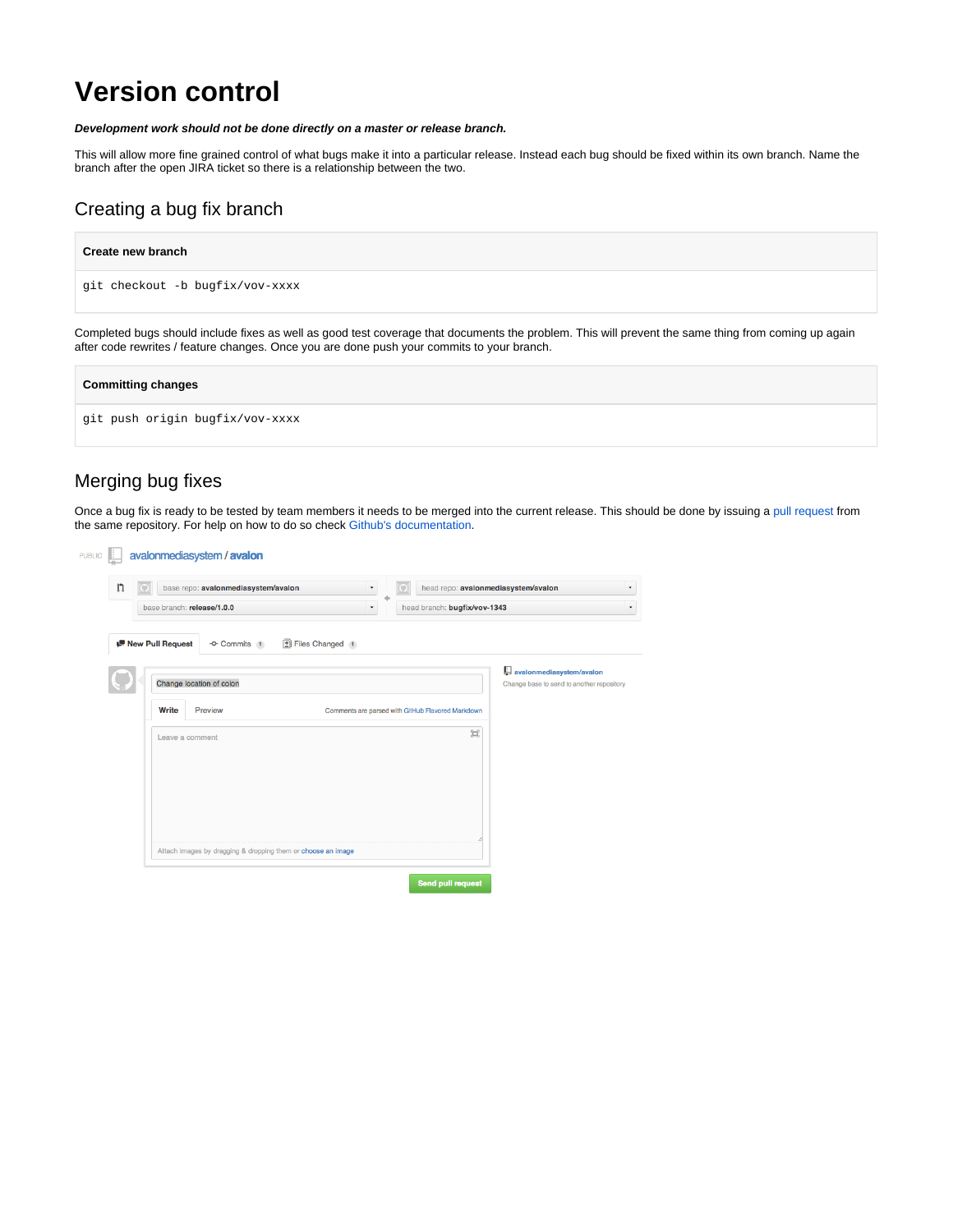# **Version control**

#### **Development work should not be done directly on a master or release branch.**

after code rewrites / feature changes. Once you are done push your commits to your branch.

This will allow more fine grained control of what bugs make it into a particular release. Instead each bug should be fixed within its own branch. Name the branch after the open JIRA ticket so there is a relationship between the two.

## Creating a bug fix branch

| <b>Create new branch</b>                                                                                                                            |
|-----------------------------------------------------------------------------------------------------------------------------------------------------|
| qit checkout -b buqfix/vov-xxxx                                                                                                                     |
| Completed bugs should include fixes as well as good test coverage that documents the problem. This will prevent the same thing from coming up again |

| <b>Committing changes</b>       |  |
|---------------------------------|--|
| git push origin bugfix/vov-xxxx |  |

### Merging bug fixes

Once a bug fix is ready to be tested by team members it needs to be merged into the current release. This should be done by issuing a [pull request](https://help.github.com/articles/using-pull-requests) from the same repository. For help on how to do so check [Github's documentation.](https://help.github.com/articles/using-pull-requests)

| œ                          | base repo: avalonmediasystem/avalon | ۰               | head repo: avalonmediasystem/avalon<br>o          |                                                                       |
|----------------------------|-------------------------------------|-----------------|---------------------------------------------------|-----------------------------------------------------------------------|
|                            | base branch: release/1.0.0          | ۰               | head branch: bugfix/vov-1343                      |                                                                       |
| <b>IF New Pull Request</b> | -O- Commits 1                       | Files Changed 1 |                                                   |                                                                       |
|                            | Change location of colon            |                 |                                                   | avalonmediasystem/avalon<br>Change base to send to another repository |
| Write                      | Preview                             |                 | Comments are parsed with GitHub Flavored Markdown |                                                                       |
|                            | Leave a comment                     |                 | 冥                                                 |                                                                       |
|                            |                                     |                 |                                                   |                                                                       |
|                            |                                     |                 |                                                   |                                                                       |
|                            |                                     |                 |                                                   |                                                                       |
|                            |                                     |                 |                                                   |                                                                       |